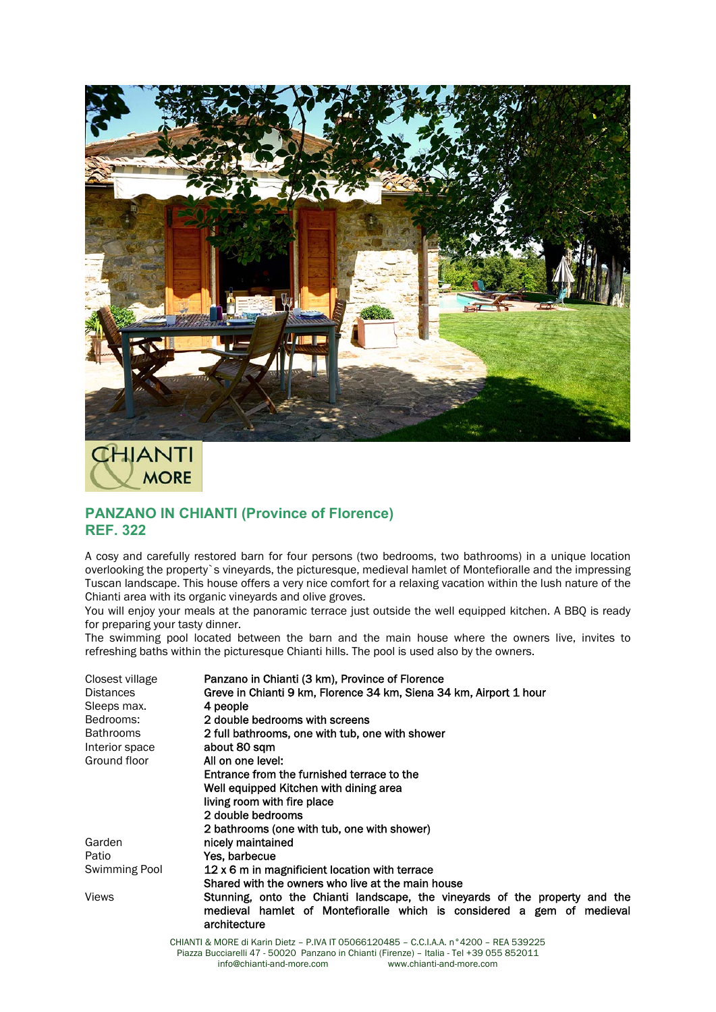

## **CHIANTI MORE**

## **PANZANO IN CHIANTI (Province of Florence) REF. 322**

A cosy and carefully restored barn for four persons (two bedrooms, two bathrooms) in a unique location overlooking the property`s vineyards, the picturesque, medieval hamlet of Montefioralle and the impressing Tuscan landscape. This house offers a very nice comfort for a relaxing vacation within the lush nature of the Chianti area with its organic vineyards and olive groves.

You will enjoy your meals at the panoramic terrace just outside the well equipped kitchen. A BBQ is ready for preparing your tasty dinner.

The swimming pool located between the barn and the main house where the owners live, invites to refreshing baths within the picturesque Chianti hills. The pool is used also by the owners.

| Panzano in Chianti (3 km), Province of Florence                                                                                                                       |
|-----------------------------------------------------------------------------------------------------------------------------------------------------------------------|
| Greve in Chianti 9 km, Florence 34 km, Siena 34 km, Airport 1 hour                                                                                                    |
| 4 people                                                                                                                                                              |
| 2 double bedrooms with screens                                                                                                                                        |
| 2 full bathrooms, one with tub, one with shower                                                                                                                       |
| about 80 sqm                                                                                                                                                          |
| All on one level:                                                                                                                                                     |
| Entrance from the furnished terrace to the                                                                                                                            |
| Well equipped Kitchen with dining area                                                                                                                                |
| living room with fire place                                                                                                                                           |
| 2 double bedrooms                                                                                                                                                     |
| 2 bathrooms (one with tub, one with shower)                                                                                                                           |
| nicely maintained                                                                                                                                                     |
| Yes barbecue                                                                                                                                                          |
| 12 x 6 m in magnificient location with terrace                                                                                                                        |
| Shared with the owners who live at the main house                                                                                                                     |
| Stunning, onto the Chianti landscape, the vineyards of the property and the<br>medieval hamlet of Montefioralle which is considered a gem of medieval<br>architecture |
|                                                                                                                                                                       |